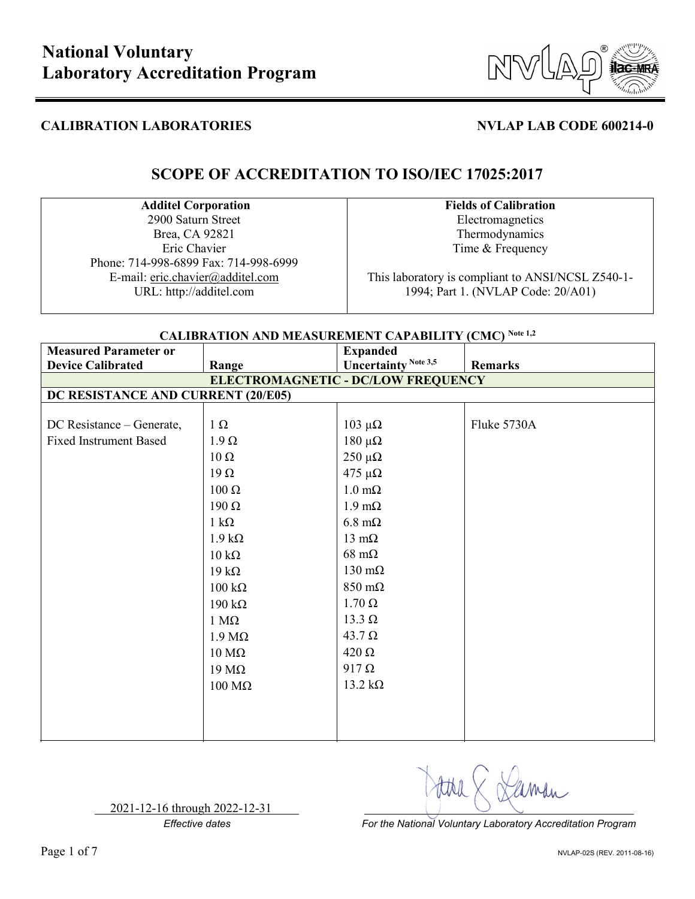

# **SCOPE OF ACCREDITATION TO ISO/IEC 17025:2017**

### **Additel Corporation**

2900 Saturn Street Brea, CA 92821 Eric Chavier Phone: 714-998-6899 Fax: 714-998-6999 E-mail: eric.chavier@additel.com URL: http://additel.com

### **Fields of Calibration** Electromagnetics Thermodynamics Time & Frequency

This laboratory is compliant to ANSI/NCSL Z540-1- 1994; Part 1. (NVLAP Code: 20/A01)

## **CALIBRATION AND MEASUREMENT CAPABILITY (CMC) Note 1,2**

| <b>Measured Parameter or</b>       |                                    | <b>Expanded</b>             |                |  |  |  |
|------------------------------------|------------------------------------|-----------------------------|----------------|--|--|--|
| <b>Device Calibrated</b>           | Range                              | <b>Uncertainty Note 3,5</b> | <b>Remarks</b> |  |  |  |
| ELECTROMAGNETIC - DC/LOW FREQUENCY |                                    |                             |                |  |  |  |
|                                    | DC RESISTANCE AND CURRENT (20/E05) |                             |                |  |  |  |
|                                    |                                    |                             |                |  |  |  |
| DC Resistance – Generate,          | $1 \Omega$                         | $103$ μΩ                    | Fluke 5730A    |  |  |  |
| <b>Fixed Instrument Based</b>      | $1.9 \Omega$                       | $180 \muΩ$                  |                |  |  |  |
|                                    | $10 \Omega$                        | $250 \mu\Omega$             |                |  |  |  |
|                                    | $19 \Omega$                        | $475 \mu\Omega$             |                |  |  |  |
|                                    | $100 \Omega$                       | $1.0 \text{ m}\Omega$       |                |  |  |  |
|                                    | $190 \Omega$                       | $1.9 \text{ mA}$            |                |  |  |  |
|                                    | $1 \text{ k}\Omega$                | $6.8 \text{ m}\Omega$       |                |  |  |  |
|                                    | $1.9 k\Omega$                      | $13 \text{ mA}$             |                |  |  |  |
|                                    | $10 \text{ k}\Omega$               | $68 \text{ m}\Omega$        |                |  |  |  |
|                                    | $19 k\Omega$                       | $130 \text{ m}\Omega$       |                |  |  |  |
|                                    | $100 \text{ k}\Omega$              | $850 \text{ m}\Omega$       |                |  |  |  |
|                                    | $190 \text{ k}\Omega$              | $1.70 \Omega$               |                |  |  |  |
|                                    | $1 M\Omega$                        | $13.3 \Omega$               |                |  |  |  |
|                                    | $1.9 \text{ M}\Omega$              | $43.7 \Omega$               |                |  |  |  |
|                                    | $10 \text{ M}\Omega$               | $420 \Omega$                |                |  |  |  |
|                                    | $19 \text{ M}\Omega$               | $917 \Omega$                |                |  |  |  |
|                                    | $100 \text{ M}\Omega$              | $13.2 \text{ k}\Omega$      |                |  |  |  |
|                                    |                                    |                             |                |  |  |  |
|                                    |                                    |                             |                |  |  |  |
|                                    |                                    |                             |                |  |  |  |

2021-12-16 through 2022-12-31

*Effective dates For the National Voluntary Laboratory Accreditation Program*

aman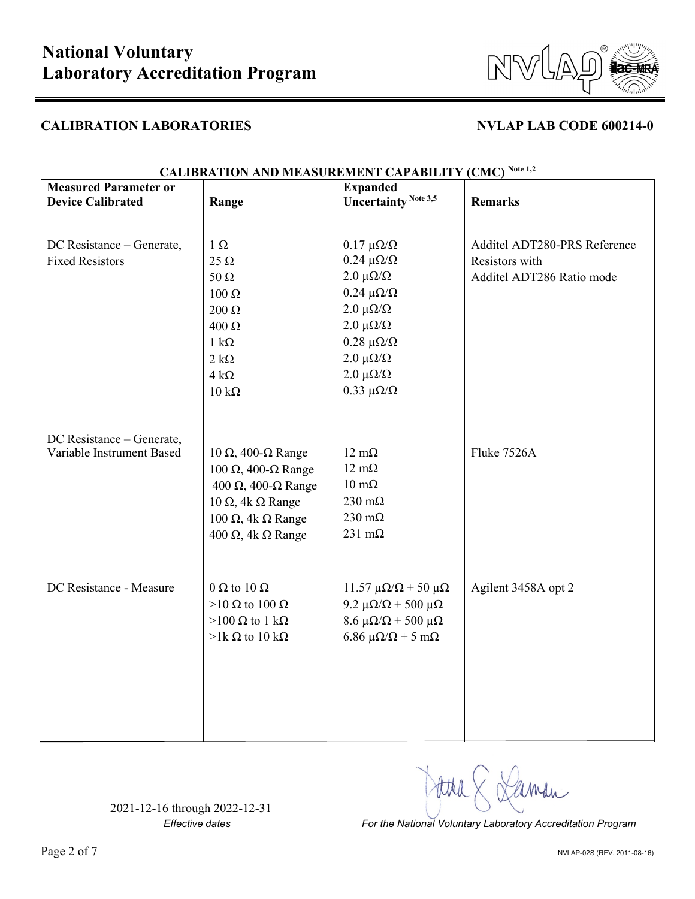

| <b>Measured Parameter or</b> |                               | <b>Expanded</b>                         | $\sim$ $\sim$                |
|------------------------------|-------------------------------|-----------------------------------------|------------------------------|
| <b>Device Calibrated</b>     | Range                         | <b>Uncertainty Note 3,5</b>             | <b>Remarks</b>               |
|                              |                               |                                         |                              |
| DC Resistance - Generate,    | $1 \Omega$                    | $0.17 \mu\Omega/\Omega$                 | Additel ADT280-PRS Reference |
| <b>Fixed Resistors</b>       | $25 \Omega$                   | $0.24 \mu\Omega/\Omega$                 | Resistors with               |
|                              | 50 $\Omega$                   | $2.0 \mu\Omega/\Omega$                  | Additel ADT286 Ratio mode    |
|                              | 100 Ω                         | $0.24 \ \mu\Omega/\Omega$               |                              |
|                              | 200 $\Omega$                  | $2.0 \mu\Omega/\Omega$                  |                              |
|                              | $400 \Omega$                  | $2.0 \muΩ/Ω$                            |                              |
|                              | $1 \text{ k}\Omega$           | $0.28 \ \mu\Omega/\Omega$               |                              |
|                              | $2 k\Omega$                   | $2.0 \mu\Omega/\Omega$                  |                              |
|                              | $4 k\Omega$                   | $2.0 \mu\Omega/\Omega$                  |                              |
|                              | $10 \text{ k}\Omega$          | $0.33 \ \mu\Omega/\Omega$               |                              |
|                              |                               |                                         |                              |
|                              |                               |                                         |                              |
| DC Resistance - Generate,    |                               |                                         |                              |
| Variable Instrument Based    | $10$ Ω, 400-Ω Range           | $12 \text{ mA}$                         | Fluke 7526A                  |
|                              | $100$ Ω, 400-Ω Range          | $12 \text{ m}\Omega$                    |                              |
|                              | $400$ Ω, $400$ -Ω Range       | $10 \text{ m}\Omega$                    |                              |
|                              | 10 Ω, 4k Ω Range              | 230 m $\Omega$                          |                              |
|                              | 100 Ω, 4k Ω Range             | $230 \text{ m}\Omega$                   |                              |
|                              | 400 Ω, 4k Ω Range             | $231 \text{ m}\Omega$                   |                              |
|                              |                               |                                         |                              |
|                              |                               |                                         |                              |
|                              |                               |                                         |                              |
| DC Resistance - Measure      | $0 \Omega$ to $10 \Omega$     | 11.57 μ $\Omega/\Omega$ + 50 μ $\Omega$ | Agilent 3458A opt 2          |
|                              | $>10 \Omega$ to $100 \Omega$  | 9.2 μ $\Omega/\Omega$ + 500 μ $\Omega$  |                              |
|                              | $>100 \Omega$ to 1 k $\Omega$ | $8.6 \mu\Omega/\Omega$ + 500 μ $\Omega$ |                              |
|                              | $>1k \Omega$ to 10 k $\Omega$ | 6.86 $\mu\Omega/\Omega$ + 5 m $\Omega$  |                              |
|                              |                               |                                         |                              |
|                              |                               |                                         |                              |
|                              |                               |                                         |                              |
|                              |                               |                                         |                              |
|                              |                               |                                         |                              |

### **CALIBRATION AND MEASUREMENT CAPABILITY (CMC) Note 1,2**

2021-12-16 through 2022-12-31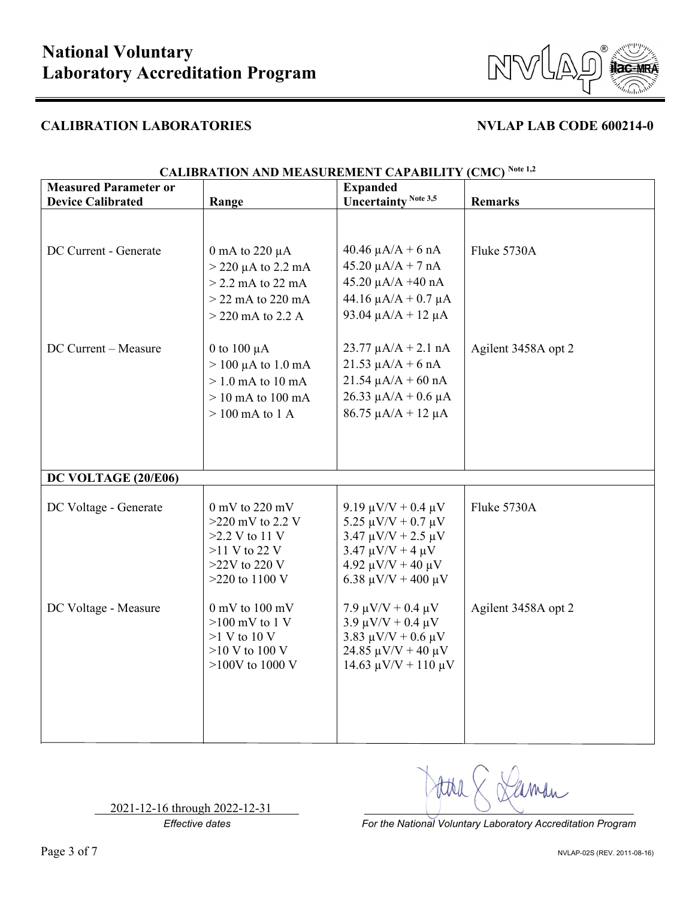

| <b>Measured Parameter or</b> |                                     | <b>Expanded</b>                                           |                     |
|------------------------------|-------------------------------------|-----------------------------------------------------------|---------------------|
| <b>Device Calibrated</b>     | Range                               | <b>Uncertainty Note 3,5</b>                               | <b>Remarks</b>      |
|                              |                                     |                                                           |                     |
|                              |                                     |                                                           |                     |
| DC Current - Generate        | 0 mA to 220 $\mu$ A                 | $40.46 \mu A/A + 6 nA$                                    | Fluke 5730A         |
|                              | $>$ 220 µA to 2.2 mA                | $45.20 \mu A/A + 7 nA$                                    |                     |
|                              | $>$ 2.2 mA to 22 mA                 | $45.20 \mu A/A + 40 nA$                                   |                     |
|                              | $>$ 22 mA to 220 mA                 | $44.16 \mu A/A + 0.7 \mu A$                               |                     |
|                              | $>$ 220 mA to 2.2 A                 | 93.04 $\mu$ A/A + 12 $\mu$ A                              |                     |
| DC Current - Measure         | 0 to 100 $\mu$ A                    | $23.77 \mu A/A + 2.1 \n nA$                               | Agilent 3458A opt 2 |
|                              | $> 100 \mu A$ to 1.0 mA             | $21.53 \mu A/A + 6 nA$                                    |                     |
|                              | $>1.0$ mA to 10 mA                  | $21.54 \mu A/A + 60 \text{ nA}$                           |                     |
|                              | $> 10$ mA to $100$ mA               | $26.33 \mu A/A + 0.6 \mu A$                               |                     |
|                              | $> 100$ mA to 1 A                   | $86.75 \mu A/A + 12 \mu A$                                |                     |
|                              |                                     |                                                           |                     |
|                              |                                     |                                                           |                     |
|                              |                                     |                                                           |                     |
| DC VOLTAGE (20/E06)          |                                     |                                                           |                     |
|                              |                                     |                                                           |                     |
| DC Voltage - Generate        | $0 \text{ mV}$ to 220 mV            | 9.19 $\mu$ V/V + 0.4 $\mu$ V                              | Fluke 5730A         |
|                              | $>220$ mV to 2.2 V                  | 5.25 $\mu$ V/V + 0.7 $\mu$ V                              |                     |
|                              | $>2.2$ V to 11 V                    | $3.47 \mu V/V + 2.5 \mu V$                                |                     |
|                              | $>11$ V to 22 V                     | $3.47 \mu V/V + 4 \mu V$                                  |                     |
|                              | $>22V$ to 220 V<br>$>220$ to 1100 V | $4.92 \mu V/V + 40 \mu V$<br>6.38 $\mu$ V/V + 400 $\mu$ V |                     |
|                              |                                     |                                                           |                     |
| DC Voltage - Measure         | $0$ mV to $100$ mV                  | $7.9 \mu V/V + 0.4 \mu V$                                 | Agilent 3458A opt 2 |
|                              | $>100$ mV to 1 V                    | $3.9 \mu V/V + 0.4 \mu V$                                 |                     |
|                              | $>1$ V to 10 V                      | 3.83 $\mu$ V/V + 0.6 $\mu$ V                              |                     |
|                              | $>10$ V to 100 V                    | 24.85 $\mu$ V/V + 40 $\mu$ V                              |                     |
|                              | $>100V$ to 1000 V                   | $14.63 \mu V/V + 110 \mu V$                               |                     |
|                              |                                     |                                                           |                     |
|                              |                                     |                                                           |                     |
|                              |                                     |                                                           |                     |
|                              |                                     |                                                           |                     |

### **CALIBRATION AND MEASUREMENT CAPABILITY (CMC) Note 1,2**

2021-12-16 through 2022-12-31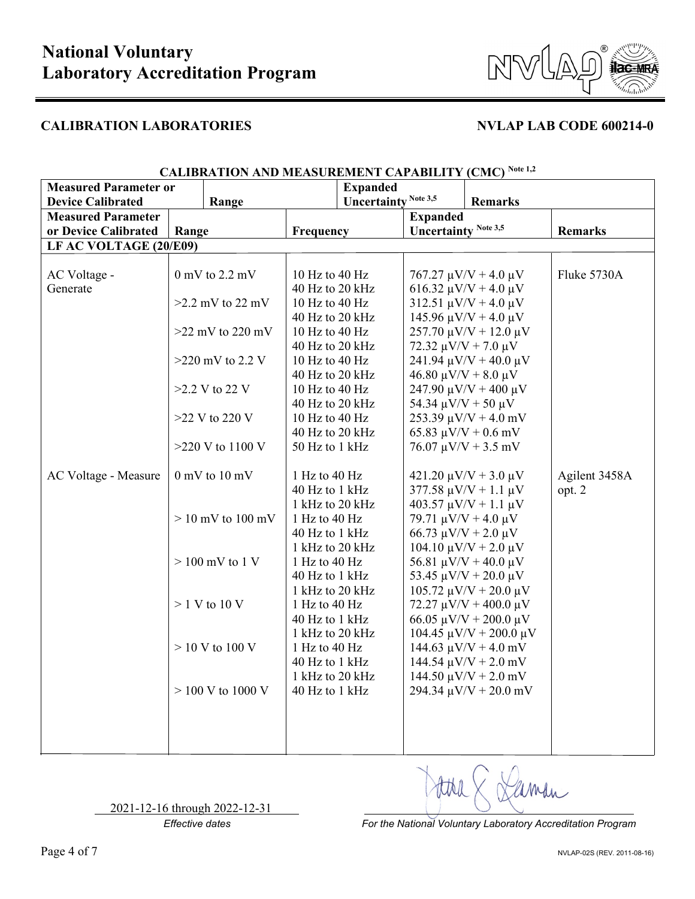



| <b>Measured Parameter or</b> |                       |                                   | <b>Expanded</b>  | $\frac{1}{2}$               |                               |                                                        |                |
|------------------------------|-----------------------|-----------------------------------|------------------|-----------------------------|-------------------------------|--------------------------------------------------------|----------------|
| <b>Device Calibrated</b>     |                       | Range                             |                  | <b>Uncertainty Note 3,5</b> |                               | <b>Remarks</b>                                         |                |
| <b>Measured Parameter</b>    |                       |                                   |                  |                             | <b>Expanded</b>               |                                                        |                |
| or Device Calibrated         | Range                 |                                   | <b>Frequency</b> |                             | <b>Uncertainty Note 3,5</b>   |                                                        | <b>Remarks</b> |
| LF AC VOLTAGE (20/E09)       |                       |                                   |                  |                             |                               |                                                        |                |
|                              |                       |                                   |                  |                             |                               |                                                        |                |
| AC Voltage -                 |                       | $0 \text{ mV}$ to 2.2 mV          | 10 Hz to 40 Hz   |                             |                               | $767.27 \mu V/V + 4.0 \mu V$                           | Fluke 5730A    |
| Generate                     |                       |                                   | 40 Hz to 20 kHz  |                             |                               | 616.32 $\mu$ V/V + 4.0 $\mu$ V                         |                |
|                              |                       | $>2.2$ mV to 22 mV                | 10 Hz to 40 Hz   |                             |                               | $312.51 \mu V/V + 4.0 \mu V$                           |                |
|                              |                       |                                   | 40 Hz to 20 kHz  |                             |                               | $145.96 \mu V/V + 4.0 \mu V$                           |                |
|                              |                       | $>22~\mathrm{mV}$ to 220 mV       | 10 Hz to 40 Hz   |                             |                               | $257.70 \mu V/V + 12.0 \mu V$                          |                |
|                              |                       |                                   | 40 Hz to 20 kHz  |                             | 72.32 $\mu$ V/V + 7.0 $\mu$ V |                                                        |                |
|                              |                       | $>220$ mV to 2.2 V                | 10 Hz to 40 Hz   |                             |                               | $241.94 \mu V/V + 40.0 \mu V$                          |                |
|                              |                       |                                   | 40 Hz to 20 kHz  |                             | $46.80 \mu V/V + 8.0 \mu V$   |                                                        |                |
|                              |                       | $>2.2$ V to 22 V                  | 10 Hz to 40 Hz   |                             |                               | $247.90 \mu V/V + 400 \mu V$                           |                |
|                              |                       |                                   | 40 Hz to 20 kHz  |                             | 54.34 $\mu$ V/V + 50 $\mu$ V  |                                                        |                |
|                              |                       | $>22$ V to 220 V                  | 10 Hz to 40 Hz   |                             |                               | $253.39 \mu V/V + 4.0 \mbox{ mV}$                      |                |
|                              |                       |                                   | 40 Hz to 20 kHz  |                             |                               | 65.83 $\mu$ V/V + 0.6 mV                               |                |
|                              |                       | $>220$ V to 1100 V                | 50 Hz to 1 kHz   |                             |                               | $76.07 \mu V/V + 3.5 \text{ mV}$                       |                |
|                              |                       |                                   |                  |                             |                               |                                                        |                |
| AC Voltage - Measure         |                       | $0 \text{ mV}$ to $10 \text{ mV}$ | 1 Hz to 40 Hz    |                             |                               | $421.20 \mu V/V + 3.0 \mu V$                           | Agilent 3458A  |
|                              |                       |                                   | 40 Hz to 1 kHz   |                             |                               | $377.58 \mu V/V + 1.1 \mu V$                           | opt. 2         |
|                              |                       |                                   | 1 kHz to 20 kHz  |                             |                               | $403.57 \mu V/V + 1.1 \mu V$                           |                |
|                              | $> 10$ mV to $100$ mV |                                   | 1 Hz to 40 Hz    |                             | 79.71 $\mu$ V/V + 4.0 $\mu$ V |                                                        |                |
|                              |                       |                                   | 40 Hz to 1 kHz   |                             | 66.73 $\mu$ V/V + 2.0 $\mu$ V |                                                        |                |
|                              |                       |                                   | 1 kHz to 20 kHz  |                             |                               | $104.10 \mu V/V + 2.0 \mu V$                           |                |
|                              | $> 100$ mV to 1 V     |                                   | 1 Hz to 40 Hz    |                             |                               | 56.81 $\mu$ V/V + 40.0 $\mu$ V                         |                |
|                              |                       |                                   | 40 Hz to 1 kHz   |                             |                               | 53.45 $\mu$ V/V + 20.0 $\mu$ V                         |                |
|                              |                       |                                   | 1 kHz to 20 kHz  |                             |                               | $105.72 \mu V/V + 20.0 \mu V$                          |                |
|                              | $> 1$ V to 10 V       |                                   | 1 Hz to 40 Hz    |                             |                               | $72.27 \mu V/V + 400.0 \mu V$                          |                |
|                              |                       |                                   | 40 Hz to 1 kHz   |                             |                               | 66.05 $\mu$ V/V + 200.0 $\mu$ V                        |                |
|                              |                       |                                   | 1 kHz to 20 kHz  |                             |                               | 104.45 μV/V + 200.0 μV                                 |                |
|                              |                       | $> 10$ V to 100 V                 | 1 Hz to 40 Hz    |                             |                               | $144.63 \text{ }\mu\text{V/V} + 4.0 \text{ }\text{mV}$ |                |
|                              |                       |                                   | 40 Hz to 1 kHz   |                             |                               | $144.54 \mu V/V + 2.0 \mbox{ mV}$                      |                |
|                              |                       |                                   | 1 kHz to 20 kHz  |                             |                               | $144.50 \mu V/V + 2.0 \mbox{ mV}$                      |                |
|                              |                       | $> 100$ V to 1000 V               | 40 Hz to 1 kHz   |                             |                               | 294.34 $\mu$ V/V + 20.0 mV                             |                |
|                              |                       |                                   |                  |                             |                               |                                                        |                |
|                              |                       |                                   |                  |                             |                               |                                                        |                |
|                              |                       |                                   |                  |                             |                               |                                                        |                |

### **CALIBRATION AND MEASUREMENT CAPABILITY (CMC) Note 1,2**

2021-12-16 through 2022-12-31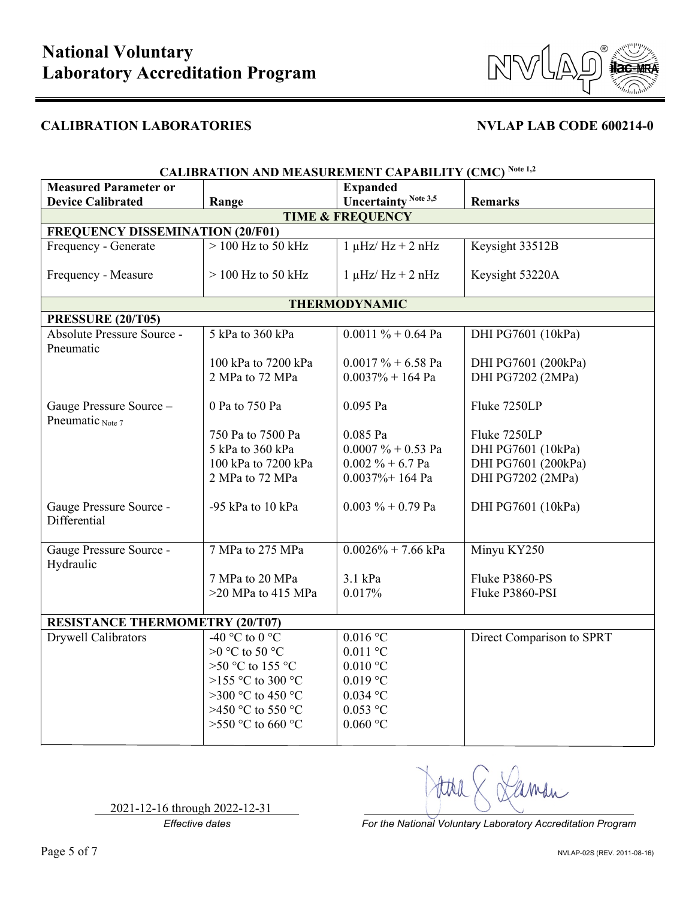



| <b>CALIBRATION AND MEASUREMENT CAPABILITY (CMC) Note 1,2</b> |                                                        |                             |                           |  |  |  |  |
|--------------------------------------------------------------|--------------------------------------------------------|-----------------------------|---------------------------|--|--|--|--|
| <b>Measured Parameter or</b><br><b>Expanded</b>              |                                                        |                             |                           |  |  |  |  |
| <b>Device Calibrated</b>                                     | <b>Uncertainty Note 3,5</b><br>Range<br><b>Remarks</b> |                             |                           |  |  |  |  |
|                                                              | <b>TIME &amp; FREQUENCY</b>                            |                             |                           |  |  |  |  |
| <b>FREQUENCY DISSEMINATION (20/F01)</b>                      |                                                        |                             |                           |  |  |  |  |
| Frequency - Generate                                         | $>$ 100 Hz to 50 kHz                                   | $1 \mu$ Hz/Hz + 2 nHz       | Keysight 33512B           |  |  |  |  |
| Frequency - Measure                                          | $> 100$ Hz to 50 kHz                                   | $1 \mu$ Hz/Hz + 2 nHz       | Keysight 53220A           |  |  |  |  |
|                                                              |                                                        | <b>THERMODYNAMIC</b>        |                           |  |  |  |  |
| <b>PRESSURE (20/T05)</b>                                     |                                                        |                             |                           |  |  |  |  |
| Absolute Pressure Source -<br>Pneumatic                      | 5 kPa to 360 kPa                                       | $0.0011 \% + 0.64$ Pa       | DHI PG7601 (10kPa)        |  |  |  |  |
|                                                              | 100 kPa to 7200 kPa                                    | $0.0017 \% + 6.58$ Pa       | DHI PG7601 (200kPa)       |  |  |  |  |
|                                                              | 2 MPa to 72 MPa                                        | $0.0037% + 164$ Pa          | DHI PG7202 (2MPa)         |  |  |  |  |
| Gauge Pressure Source -<br>Pneumatic Note 7                  | 0 Pa to 750 Pa                                         | 0.095 Pa                    | Fluke 7250LP              |  |  |  |  |
|                                                              | 750 Pa to 7500 Pa                                      | 0.085 Pa                    | Fluke 7250LP              |  |  |  |  |
|                                                              | 5 kPa to 360 kPa                                       | $0.0007 \% + 0.53$ Pa       | DHI PG7601 (10kPa)        |  |  |  |  |
|                                                              | 100 kPa to 7200 kPa                                    | $0.002 \% + 6.7$ Pa         | DHI PG7601 (200kPa)       |  |  |  |  |
|                                                              | 2 MPa to 72 MPa                                        | $0.0037\% + 164$ Pa         | DHI PG7202 (2MPa)         |  |  |  |  |
|                                                              |                                                        |                             |                           |  |  |  |  |
| Gauge Pressure Source -<br>Differential                      | -95 kPa to 10 kPa                                      | $0.003 \% + 0.79$ Pa        | DHI PG7601 (10kPa)        |  |  |  |  |
|                                                              |                                                        |                             |                           |  |  |  |  |
| Gauge Pressure Source -<br>Hydraulic                         | 7 MPa to 275 MPa                                       | $0.0026\% + 7.66$ kPa       | Minyu KY250               |  |  |  |  |
|                                                              | 7 MPa to 20 MPa                                        | 3.1 kPa                     | Fluke P3860-PS            |  |  |  |  |
|                                                              | >20 MPa to 415 MPa                                     | 0.017%                      | Fluke P3860-PSI           |  |  |  |  |
|                                                              |                                                        |                             |                           |  |  |  |  |
| <b>RESISTANCE THERMOMETRY (20/T07)</b>                       |                                                        |                             |                           |  |  |  |  |
| Drywell Calibrators                                          | $-40^{\circ}$ C to $0^{\circ}$ C                       | $0.016$ °C                  | Direct Comparison to SPRT |  |  |  |  |
|                                                              | >0 °C to 50 °C                                         | $0.011$ °C                  |                           |  |  |  |  |
|                                                              | >50 °C to 155 °C                                       | $0.010$ °C                  |                           |  |  |  |  |
|                                                              | >155 °C to 300 °C                                      | $0.019$ °C                  |                           |  |  |  |  |
|                                                              | >300 °C to 450 °C                                      | $0.034$ °C                  |                           |  |  |  |  |
|                                                              | >450 °C to 550 °C                                      | $0.053$ °C                  |                           |  |  |  |  |
|                                                              | >550 °C to 660 °C                                      | $0.060\ ^{\circ}\mathrm{C}$ |                           |  |  |  |  |
|                                                              |                                                        |                             |                           |  |  |  |  |

2021-12-16 through 2022-12-31

Man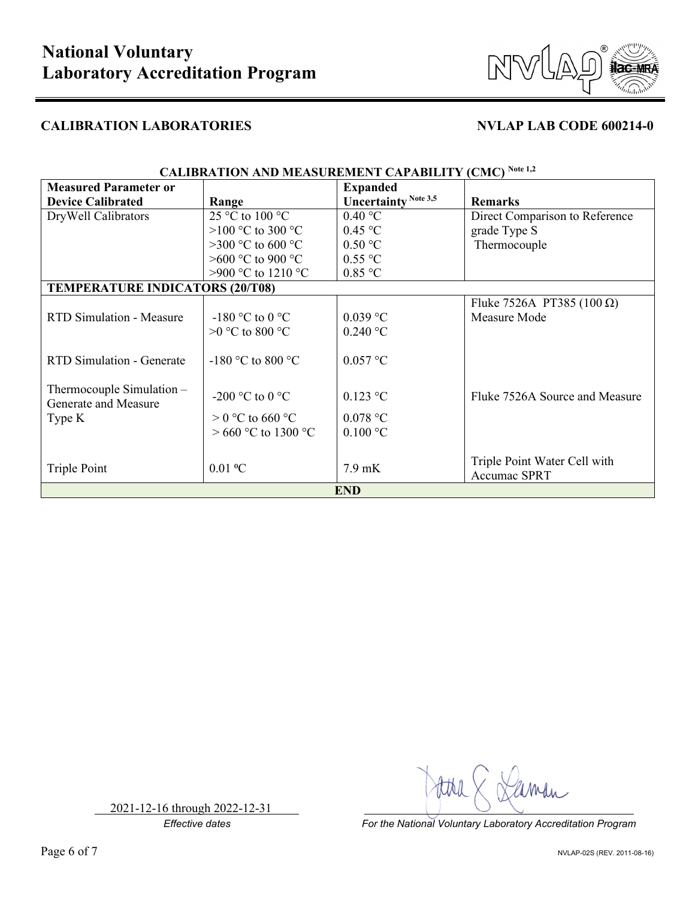

| <b>CALIBRATION AND MEASUREMENT CAPABILITY (CMC) Note 1,2</b> |                     |                             |                                   |  |
|--------------------------------------------------------------|---------------------|-----------------------------|-----------------------------------|--|
| <b>Measured Parameter or</b>                                 |                     | <b>Expanded</b>             |                                   |  |
| <b>Device Calibrated</b>                                     | Range               | <b>Uncertainty Note 3,5</b> | <b>Remarks</b>                    |  |
| DryWell Calibrators                                          | 25 °C to 100 °C     | $0.40\text{ °C}$            | Direct Comparison to Reference    |  |
|                                                              | >100 °C to 300 °C   | $0.45$ °C                   | grade Type S                      |  |
|                                                              | >300 °C to 600 °C   | 0.50 °C                     | Thermocouple                      |  |
|                                                              | $>600$ °C to 900 °C | $0.55$ °C                   |                                   |  |
|                                                              | >900 °C to 1210 °C  | $0.85$ °C                   |                                   |  |
| <b>TEMPERATURE INDICATORS (20/T08)</b>                       |                     |                             |                                   |  |
|                                                              |                     |                             | Fluke 7526A PT385 (100 $\Omega$ ) |  |
| <b>RTD Simulation - Measure</b>                              | -180 °C to 0 °C     | $0.039$ °C                  | Measure Mode                      |  |
|                                                              | $>0$ °C to 800 °C   | $0.240$ °C                  |                                   |  |
|                                                              |                     |                             |                                   |  |
| <b>RTD Simulation - Generate</b>                             | -180 °C to 800 °C   | $0.057$ °C                  |                                   |  |
|                                                              |                     |                             |                                   |  |
| Thermocouple Simulation $-$                                  | -200 °C to 0 °C     | $0.123$ °C                  | Fluke 7526A Source and Measure    |  |
| Generate and Measure                                         |                     |                             |                                   |  |
| Type K                                                       | $> 0$ °C to 660 °C  | $0.078$ °C                  |                                   |  |
|                                                              | > 660 °C to 1300 °C | $0.100$ °C                  |                                   |  |
|                                                              |                     |                             |                                   |  |
| Triple Point                                                 | $0.01$ °C           | $7.9 \text{ mK}$            | Triple Point Water Cell with      |  |
|                                                              |                     |                             | <b>Accumac SPRT</b>               |  |
| <b>END</b>                                                   |                     |                             |                                   |  |

2021-12-16 through 2022-12-31